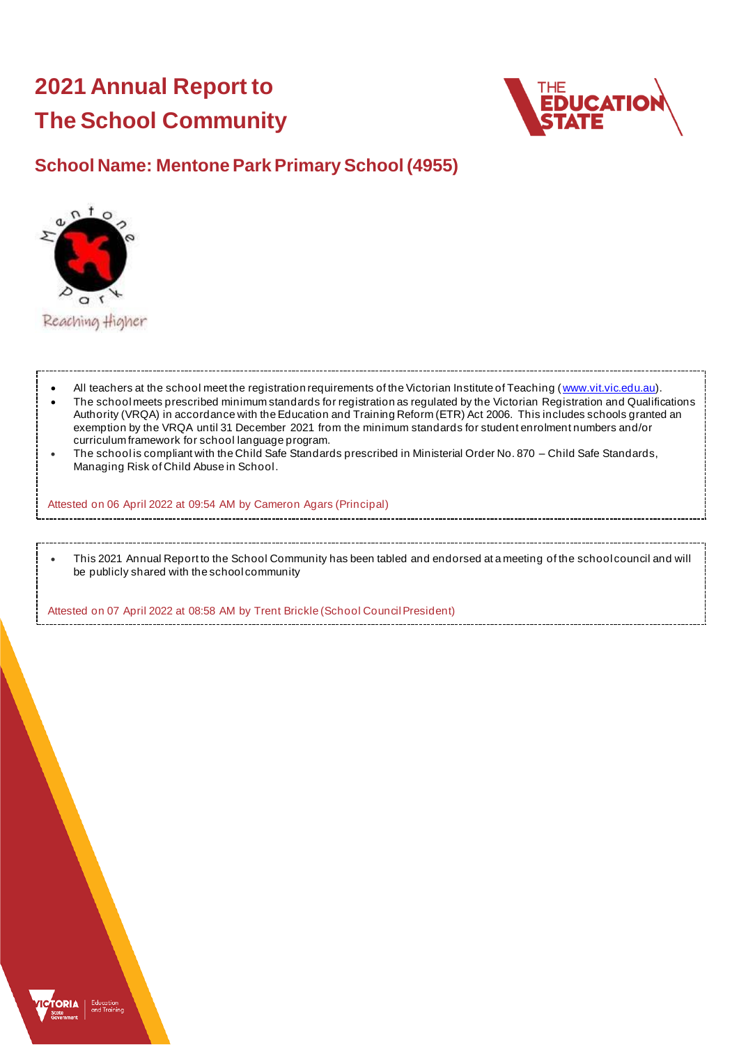# **2021 Annual Report to The School Community**



# **School Name: Mentone Park Primary School (4955)**



- All teachers at the school meet the registration requirements of the Victorian Institute of Teaching ([www.vit.vic.edu.au](https://www.vit.vic.edu.au/)). • The school meets prescribed minimum standards for registration as regulated by the Victorian Registration and Qualifications Authority (VRQA) in accordance with the Education and Training Reform (ETR) Act 2006. This includes schools granted an exemption by the VRQA until 31 December 2021 from the minimum standards for student enrolment numbers and/or curriculum framework for school language program.
- The school is compliant with the Child Safe Standards prescribed in Ministerial Order No. 870 Child Safe Standards, Managing Risk of Child Abuse in School.

Attested on 06 April 2022 at 09:54 AM by Cameron Agars (Principal)

• This 2021 Annual Report to the School Community has been tabled and endorsed at a meeting of the school council and will be publicly shared with the school community

Attested on 07 April 2022 at 08:58 AM by Trent Brickle (School Council President)

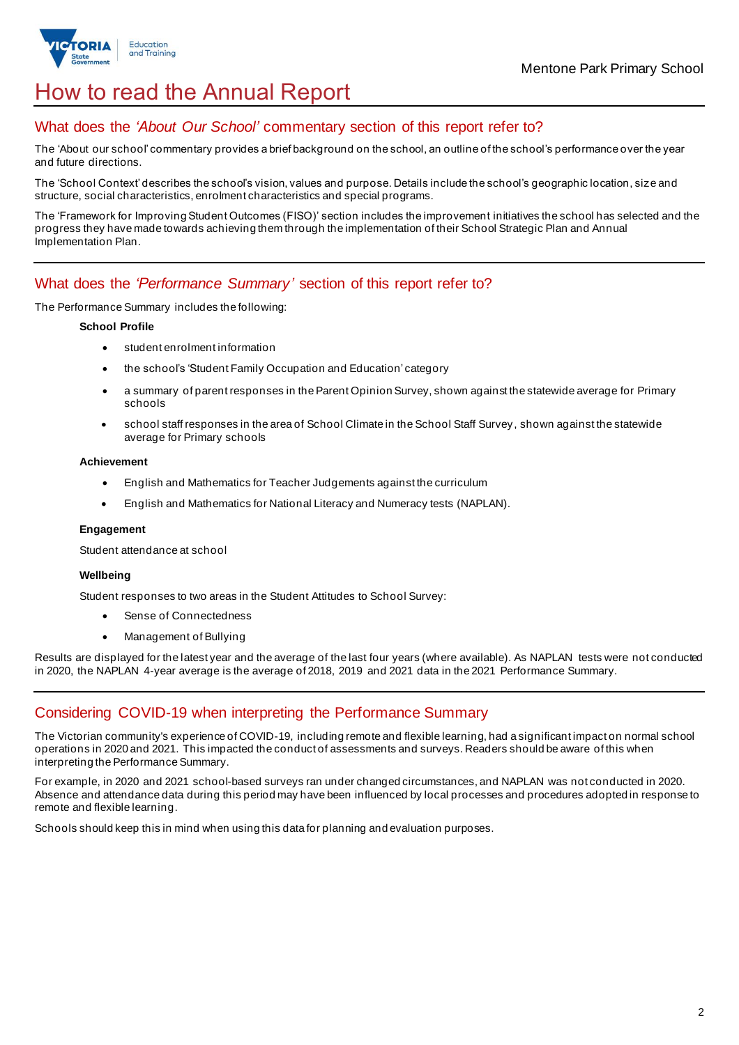

# How to read the Annual Report

## What does the *'About Our School'* commentary section of this report refer to?

The 'About our school' commentary provides a brief background on the school, an outline of the school's performance over the year and future directions.

The 'School Context' describes the school's vision, values and purpose. Details include the school's geographic location, size and structure, social characteristics, enrolment characteristics and special programs.

The 'Framework for Improving Student Outcomes (FISO)' section includes the improvement initiatives the school has selected and the progress they have made towards achieving them through the implementation of their School Strategic Plan and Annual Implementation Plan.

### What does the *'Performance Summary'* section of this report refer to?

The Performance Summary includes the following:

#### **School Profile**

- student enrolment information
- the school's 'Student Family Occupation and Education' category
- a summary of parent responses in the Parent Opinion Survey, shown against the statewide average for Primary schools
- school staff responses in the area of School Climate in the School Staff Survey, shown against the statewide average for Primary schools

#### **Achievement**

- English and Mathematics for Teacher Judgements against the curriculum
- English and Mathematics for National Literacy and Numeracy tests (NAPLAN).

#### **Engagement**

Student attendance at school

#### **Wellbeing**

Student responses to two areas in the Student Attitudes to School Survey:

- Sense of Connectedness
- Management of Bullying

Results are displayed for the latest year and the average of the last four years (where available). As NAPLAN tests were not conducted in 2020, the NAPLAN 4-year average is the average of 2018, 2019 and 2021 data in the 2021 Performance Summary.

## Considering COVID-19 when interpreting the Performance Summary

The Victorian community's experience of COVID-19, including remote and flexible learning, had a significant impact on normal school operations in 2020 and 2021. This impacted the conduct of assessments and surveys. Readers should be aware of this when interpreting the Performance Summary.

For example, in 2020 and 2021 school-based surveys ran under changed circumstances, and NAPLAN was not conducted in 2020. Absence and attendance data during this period may have been influenced by local processes and procedures adopted in response to remote and flexible learning.

Schools should keep this in mind when using this data for planning and evaluation purposes.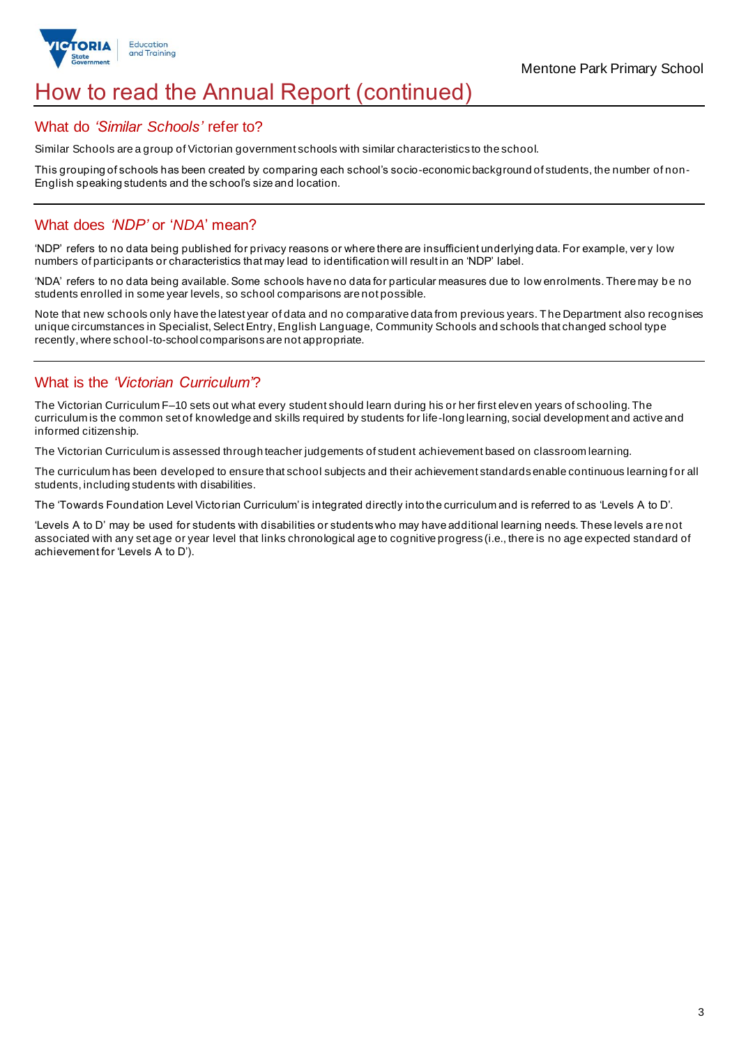

# How to read the Annual Report (continued)

### What do *'Similar Schools'* refer to?

Similar Schools are a group of Victorian government schools with similar characteristics to the school.

This grouping of schools has been created by comparing each school's socio-economic background of students, the number of non-English speaking students and the school's size and location.

### What does *'NDP'* or '*NDA*' mean?

'NDP' refers to no data being published for privacy reasons or where there are insufficient underlying data. For example, ver y low numbers of participants or characteristics that may lead to identification will result in an 'NDP' label.

'NDA' refers to no data being available. Some schools have no data for particular measures due to low enrolments. There may be no students enrolled in some year levels, so school comparisons are not possible.

Note that new schools only have the latest year of data and no comparative data from previous years. The Department also recognises unique circumstances in Specialist, Select Entry, English Language, Community Schools and schools that changed school type recently, where school-to-school comparisons are not appropriate.

## What is the *'Victorian Curriculum'*?

The Victorian Curriculum F–10 sets out what every student should learn during his or her first eleven years of schooling. The curriculum is the common set of knowledge and skills required by students for life-long learning, social development and active and informed citizenship.

The Victorian Curriculum is assessed through teacher judgements of student achievement based on classroom learning.

The curriculum has been developed to ensure that school subjects and their achievement standards enable continuous learning for all students, including students with disabilities.

The 'Towards Foundation Level Victorian Curriculum' is integrated directly into the curriculum and is referred to as 'Levels A to D'.

'Levels A to D' may be used for students with disabilities or students who may have additional learning needs. These levels are not associated with any set age or year level that links chronological age to cognitive progress (i.e., there is no age expected standard of achievement for 'Levels A to D').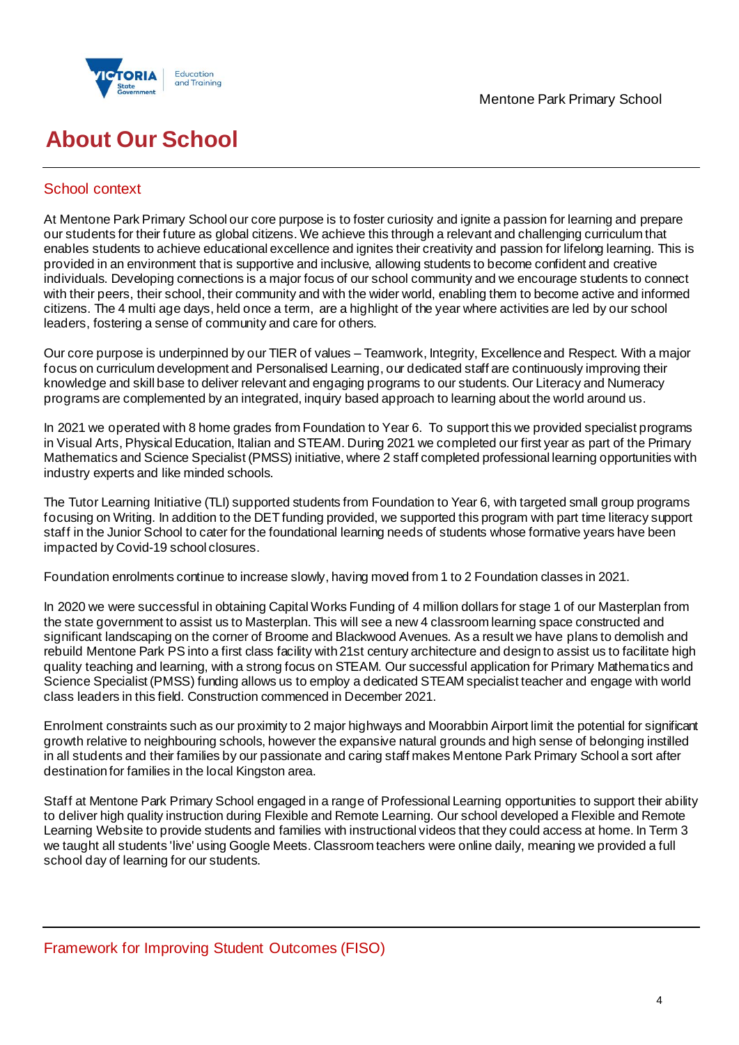



# **About Our School**

## School context

At Mentone Park Primary School our core purpose is to foster curiosity and ignite a passion for learning and prepare our students for their future as global citizens. We achieve this through a relevant and challenging curriculum that enables students to achieve educational excellence and ignites their creativity and passion for lifelong learning. This is provided in an environment that is supportive and inclusive, allowing students to become confident and creative individuals. Developing connections is a major focus of our school community and we encourage students to connect with their peers, their school, their community and with the wider world, enabling them to become active and informed citizens. The 4 multi age days, held once a term, are a highlight of the year where activities are led by our school leaders, fostering a sense of community and care for others.

Our core purpose is underpinned by our TIER of values – Teamwork, Integrity, Excellence and Respect. With a major focus on curriculum development and Personalised Learning, our dedicated staff are continuously improving their knowledge and skill base to deliver relevant and engaging programs to our students. Our Literacy and Numeracy programs are complemented by an integrated, inquiry based approach to learning about the world around us.

In 2021 we operated with 8 home grades from Foundation to Year 6. To support this we provided specialist programs in Visual Arts, Physical Education, Italian and STEAM. During 2021 we completed our first year as part of the Primary Mathematics and Science Specialist (PMSS) initiative, where 2 staff completed professional learning opportunities with industry experts and like minded schools.

The Tutor Learning Initiative (TLI) supported students from Foundation to Year 6, with targeted small group programs focusing on Writing. In addition to the DET funding provided, we supported this program with part time literacy support staff in the Junior School to cater for the foundational learning needs of students whose formative years have been impacted by Covid-19 school closures.

Foundation enrolments continue to increase slowly, having moved from 1 to 2 Foundation classes in 2021.

In 2020 we were successful in obtaining Capital Works Funding of 4 million dollars for stage 1 of our Masterplan from the state government to assist us to Masterplan. This will see a new 4 classroom learning space constructed and significant landscaping on the corner of Broome and Blackwood Avenues. As a result we have plans to demolish and rebuild Mentone Park PS into a first class facility with 21st century architecture and design to assist us to facilitate high quality teaching and learning, with a strong focus on STEAM. Our successful application for Primary Mathematics and Science Specialist (PMSS) funding allows us to employ a dedicated STEAM specialist teacher and engage with world class leaders in this field. Construction commenced in December 2021.

Enrolment constraints such as our proximity to 2 major highways and Moorabbin Airport limit the potential for significant growth relative to neighbouring schools, however the expansive natural grounds and high sense of belonging instilled in all students and their families by our passionate and caring staff makes Mentone Park Primary School a sort after destination for families in the local Kingston area.

Staff at Mentone Park Primary School engaged in a range of Professional Learning opportunities to support their ability to deliver high quality instruction during Flexible and Remote Learning. Our school developed a Flexible and Remote Learning Website to provide students and families with instructional videos that they could access at home. In Term 3 we taught all students 'live' using Google Meets. Classroom teachers were online daily, meaning we provided a full school day of learning for our students.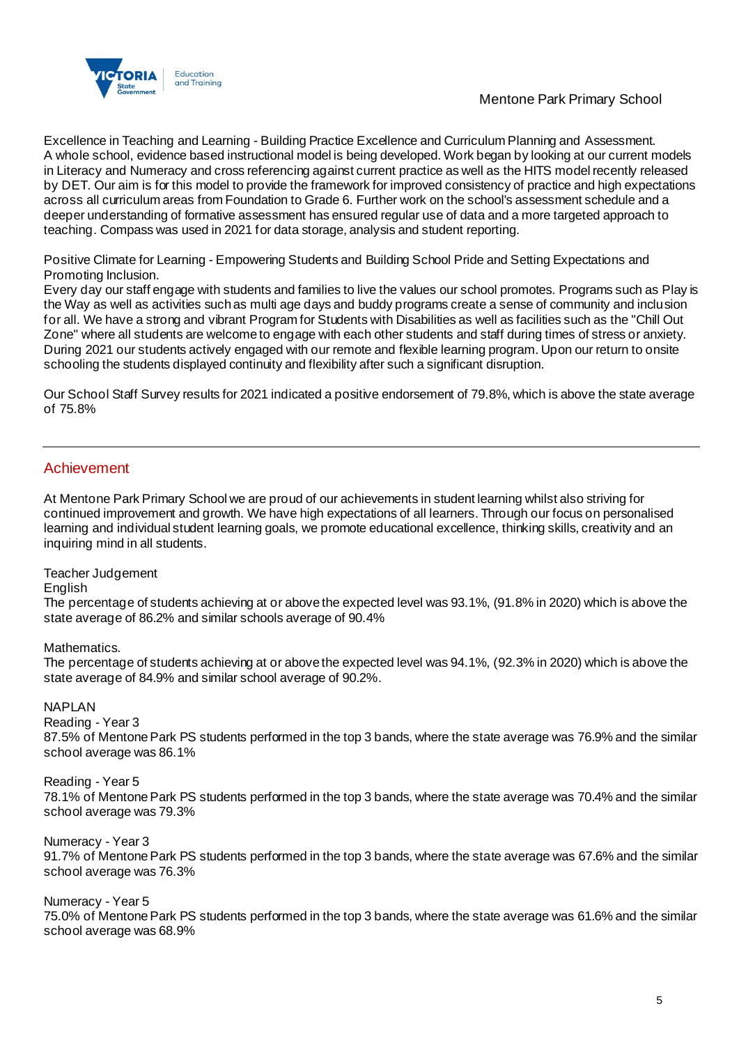

Excellence in Teaching and Learning - Building Practice Excellence and Curriculum Planning and Assessment. A whole school, evidence based instructional model is being developed. Work began by looking at our current models in Literacy and Numeracy and cross referencing against current practice as well as the HITS model recently released by DET. Our aim is for this model to provide the framework for improved consistency of practice and high expectations across all curriculum areas from Foundation to Grade 6. Further work on the school's assessment schedule and a deeper understanding of formative assessment has ensured regular use of data and a more targeted approach to teaching. Compass was used in 2021 for data storage, analysis and student reporting.

Positive Climate for Learning - Empowering Students and Building School Pride and Setting Expectations and Promoting Inclusion.

Every day our staff engage with students and families to live the values our school promotes. Programs such as Play is the Way as well as activities such as multi age days and buddy programs create a sense of community and inclusion for all. We have a strong and vibrant Program for Students with Disabilities as well as facilities such as the "Chill Out Zone" where all students are welcome to engage with each other students and staff during times of stress or anxiety. During 2021 our students actively engaged with our remote and flexible learning program. Upon our return to onsite schooling the students displayed continuity and flexibility after such a significant disruption.

Our School Staff Survey results for 2021 indicated a positive endorsement of 79.8%, which is above the state average of 75.8%

### Achievement

At Mentone Park Primary School we are proud of our achievements in student learning whilst also striving for continued improvement and growth. We have high expectations of all learners. Through our focus on personalised learning and individual student learning goals, we promote educational excellence, thinking skills, creativity and an inquiring mind in all students.

Teacher Judgement

English

The percentage of students achieving at or above the expected level was 93.1%, (91.8% in 2020) which is above the state average of 86.2% and similar schools average of 90.4%

Mathematics.

The percentage of students achieving at or above the expected level was 94.1%, (92.3% in 2020) which is above the state average of 84.9% and similar school average of 90.2%.

NAPLAN

Reading - Year 3

87.5% of Mentone Park PS students performed in the top 3 bands, where the state average was 76.9% and the similar school average was 86.1%

Reading - Year 5 78.1% of Mentone Park PS students performed in the top 3 bands, where the state average was 70.4% and the similar school average was 79.3%

Numeracy - Year 3 91.7% of Mentone Park PS students performed in the top 3 bands, where the state average was 67.6% and the similar school average was 76.3%

Numeracy - Year 5

75.0% of Mentone Park PS students performed in the top 3 bands, where the state average was 61.6% and the similar school average was 68.9%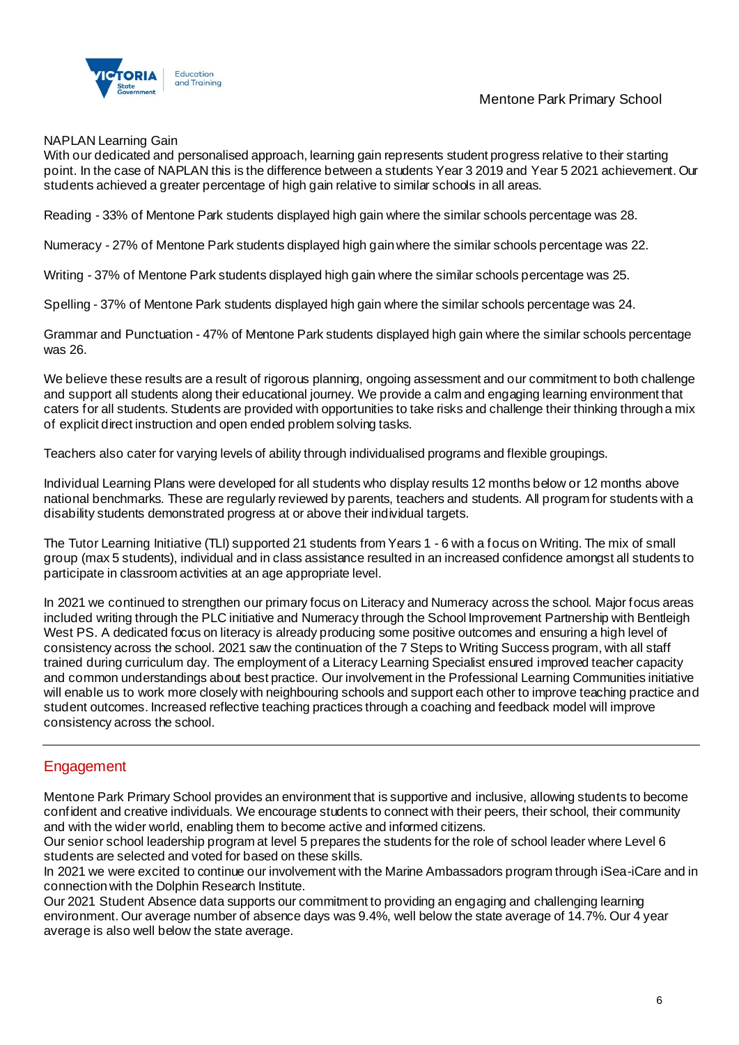



#### NAPLAN Learning Gain

With our dedicated and personalised approach, learning gain represents student progress relative to their starting point. In the case of NAPLAN this is the difference between a students Year 3 2019 and Year 5 2021 achievement. Our students achieved a greater percentage of high gain relative to similar schools in all areas.

Reading - 33% of Mentone Park students displayed high gain where the similar schools percentage was 28.

Numeracy - 27% of Mentone Park students displayed high gain where the similar schools percentage was 22.

Writing - 37% of Mentone Park students displayed high gain where the similar schools percentage was 25.

Spelling - 37% of Mentone Park students displayed high gain where the similar schools percentage was 24.

Grammar and Punctuation - 47% of Mentone Park students displayed high gain where the similar schools percentage was 26.

We believe these results are a result of rigorous planning, ongoing assessment and our commitment to both challenge and support all students along their educational journey. We provide a calm and engaging learning environment that caters for all students. Students are provided with opportunities to take risks and challenge their thinking through a mix of explicit direct instruction and open ended problem solving tasks.

Teachers also cater for varying levels of ability through individualised programs and flexible groupings.

Individual Learning Plans were developed for all students who display results 12 months below or 12 months above national benchmarks. These are regularly reviewed by parents, teachers and students. All program for students with a disability students demonstrated progress at or above their individual targets.

The Tutor Learning Initiative (TLI) supported 21 students from Years 1 - 6 with a focus on Writing. The mix of small group (max 5 students), individual and in class assistance resulted in an increased confidence amongst all students to participate in classroom activities at an age appropriate level.

In 2021 we continued to strengthen our primary focus on Literacy and Numeracy across the school. Major focus areas included writing through the PLC initiative and Numeracy through the School Improvement Partnership with Bentleigh West PS. A dedicated focus on literacy is already producing some positive outcomes and ensuring a high level of consistency across the school. 2021 saw the continuation of the 7 Steps to Writing Success program, with all staff trained during curriculum day. The employment of a Literacy Learning Specialist ensured improved teacher capacity and common understandings about best practice. Our involvement in the Professional Learning Communities initiative will enable us to work more closely with neighbouring schools and support each other to improve teaching practice and student outcomes. Increased reflective teaching practices through a coaching and feedback model will improve consistency across the school.

## Engagement

Mentone Park Primary School provides an environment that is supportive and inclusive, allowing students to become confident and creative individuals. We encourage students to connect with their peers, their school, their community and with the wider world, enabling them to become active and informed citizens.

Our senior school leadership program at level 5 prepares the students for the role of school leader where Level 6 students are selected and voted for based on these skills.

In 2021 we were excited to continue our involvement with the Marine Ambassadors program through iSea-iCare and in connection with the Dolphin Research Institute.

Our 2021 Student Absence data supports our commitment to providing an engaging and challenging learning environment. Our average number of absence days was 9.4%, well below the state average of 14.7%. Our 4 year average is also well below the state average.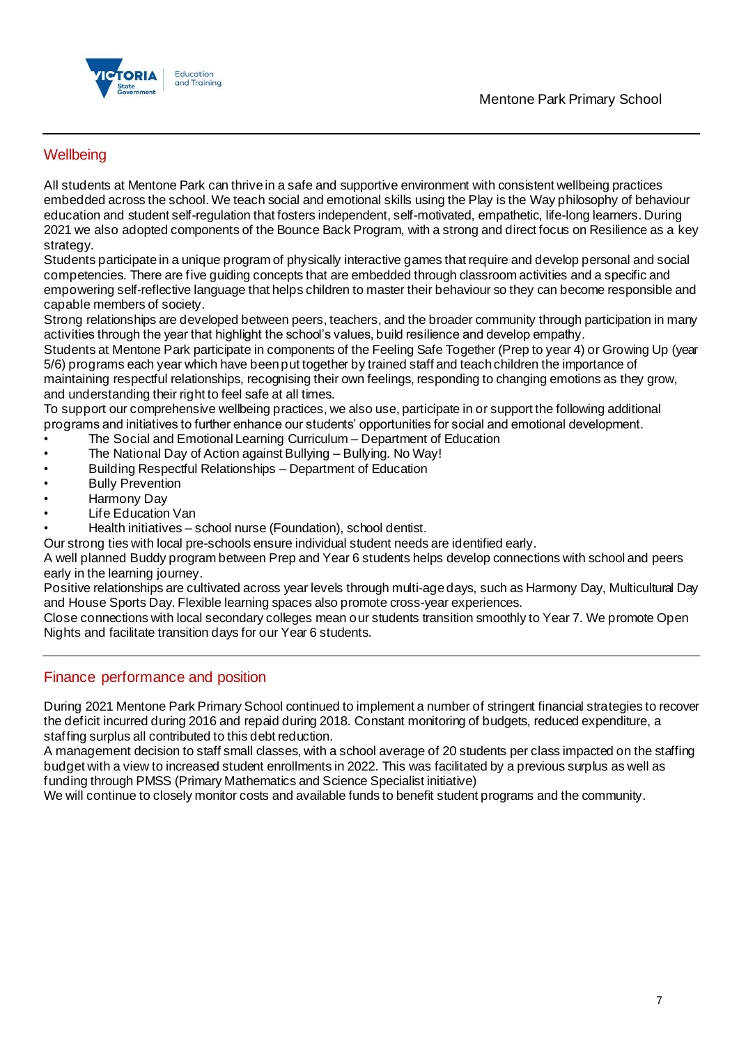

## **Wellbeing**

All students at Mentone Park can thrive in a safe and supportive environment with consistent wellbeing practices embedded across the school. We teach social and emotional skills using the Play is the Way philosophy of behaviour education and student self-regulation that fosters independent, self-motivated, empathetic, life-long learners. During 2021 we also adopted components of the Bounce Back Program, with a strong and direct focus on Resilience as a key strategy.

Students participate in a unique program of physically interactive games that require and develop personal and social competencies. There are five guiding concepts that are embedded through classroom activities and a specific and empowering self-reflective language that helps children to master their behaviour so they can become responsible and capable members of society.

Strong relationships are developed between peers, teachers, and the broader community through participation in many activities through the year that highlight the school's values, build resilience and develop empathy.

Students at Mentone Park participate in components of the Feeling Safe Together (Prep to year 4) or Growing Up (year 5/6) programs each year which have been put together by trained staff and teach children the importance of

maintaining respectful relationships, recognising their own feelings, responding to changing emotions as they grow, and understanding their right to feel safe at all times.

To support our comprehensive wellbeing practices, we also use, participate in or support the following additional programs and initiatives to further enhance our students' opportunities for social and emotional development.

- The Social and Emotional Learning Curriculum Department of Education
- The National Day of Action against Bullying Bullying. No Way!
- Building Respectful Relationships Department of Education
- **Bully Prevention**
- Harmony Day
- **Life Education Van**
- Health initiatives school nurse (Foundation), school dentist.

Our strong ties with local pre-schools ensure individual student needs are identified early.

A well planned Buddy program between Prep and Year 6 students helps develop connections with school and peers early in the learning journey.

Positive relationships are cultivated across year levels through multi-age days, such as Harmony Day, Multicultural Day and House Sports Day. Flexible learning spaces also promote cross-year experiences.

Close connections with local secondary colleges mean our students transition smoothly to Year 7. We promote Open Nights and facilitate transition days for our Year 6 students.

### Finance performance and position

During 2021 Mentone Park Primary School continued to implement a number of stringent financial strategies to recover the deficit incurred during 2016 and repaid during 2018. Constant monitoring of budgets, reduced expenditure, a staffing surplus all contributed to this debt reduction.

A management decision to staff small classes, with a school average of 20 students per class impacted on the staffing budget with a view to increased student enrollments in 2022. This was facilitated by a previous surplus as well as funding through PMSS (Primary Mathematics and Science Specialist initiative)

We will continue to closely monitor costs and available funds to benefit student programs and the community.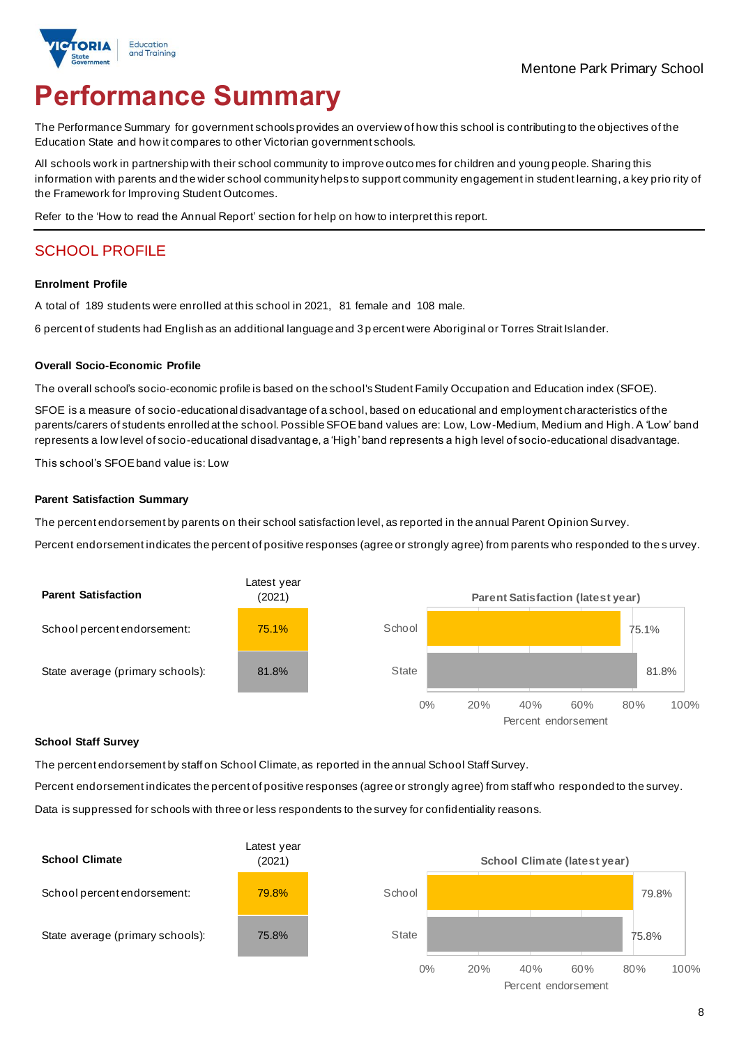# **Performance Summary**

The Performance Summary for government schools provides an overview of how this school is contributing to the objectives of the Education State and how it compares to other Victorian government schools.

All schools work in partnership with their school community to improve outco mes for children and young people. Sharing this information with parents and the wider school community helps to support community engagement in student learning, a key prio rity of the Framework for Improving Student Outcomes.

Refer to the 'How to read the Annual Report' section for help on how to interpret this report.

# SCHOOL PROFILE

#### **Enrolment Profile**

A total of 189 students were enrolled at this school in 2021, 81 female and 108 male.

6 percent of students had English as an additional language and 3 p ercent were Aboriginal or Torres Strait Islander.

#### **Overall Socio-Economic Profile**

The overall school's socio-economic profile is based on the school's Student Family Occupation and Education index (SFOE).

SFOE is a measure of socio-educational disadvantage of a school, based on educational and employment characteristics of the parents/carers of students enrolled at the school. Possible SFOE band values are: Low, Low-Medium, Medium and High. A 'Low' band represents a low level of socio-educational disadvantage, a 'High' band represents a high level of socio-educational disadvantage.

This school's SFOEband value is: Low

#### **Parent Satisfaction Summary**

The percent endorsement by parents on their school satisfaction level, as reported in the annual Parent Opinion Survey.

Percent endorsement indicates the percent of positive responses (agree or strongly agree) from parents who responded to the s urvey.



#### **School Staff Survey**

The percent endorsement by staff on School Climate, as reported in the annual School Staff Survey.

Percent endorsement indicates the percent of positive responses (agree or strongly agree) from staff who responded to the survey.

Data is suppressed for schools with three or less respondents to the survey for confidentiality reasons.

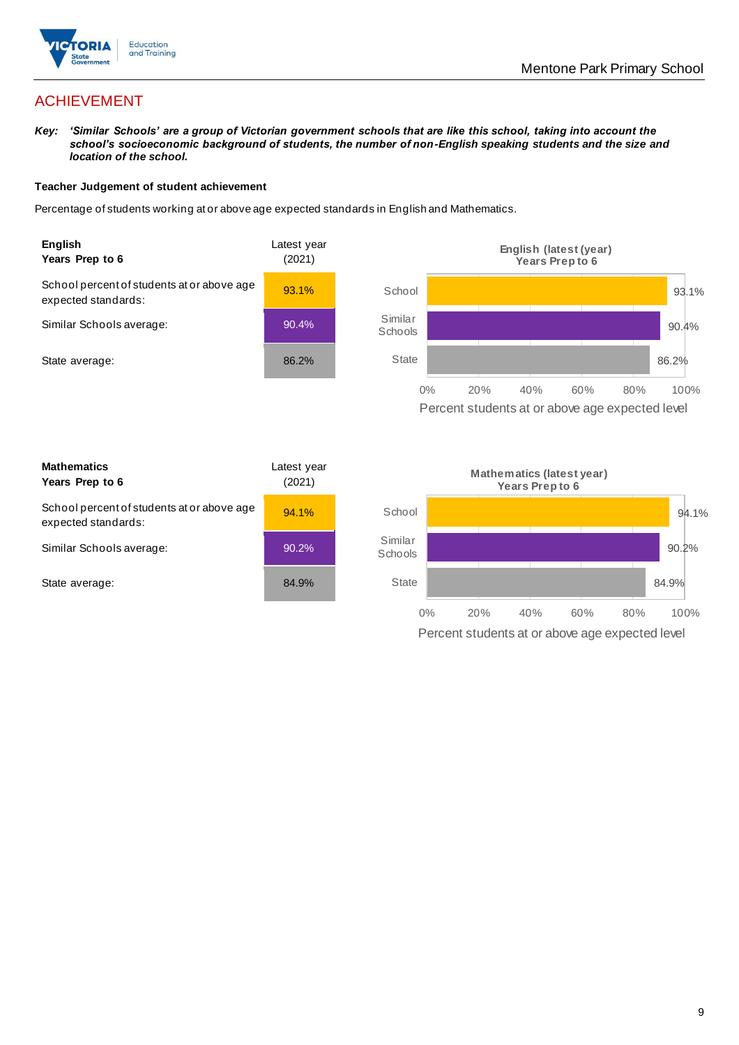

# ACHIEVEMENT

*Key: 'Similar Schools' are a group of Victorian government schools that are like this school, taking into account the school's socioeconomic background of students, the number of non-English speaking students and the size and location of the school.*

#### **Teacher Judgement of student achievement**

Percentage of students working at or above age expected standards in English and Mathematics.



Percent students at or above age expected level

| <b>Mathematics</b><br>Years Prep to 6                             | Latest vear<br>(2021) |
|-------------------------------------------------------------------|-----------------------|
| School percent of students at or above age<br>expected standards: | 94.1%                 |
| Similar Schools average:                                          | 90.2%                 |
| State average:                                                    | 84.9%                 |

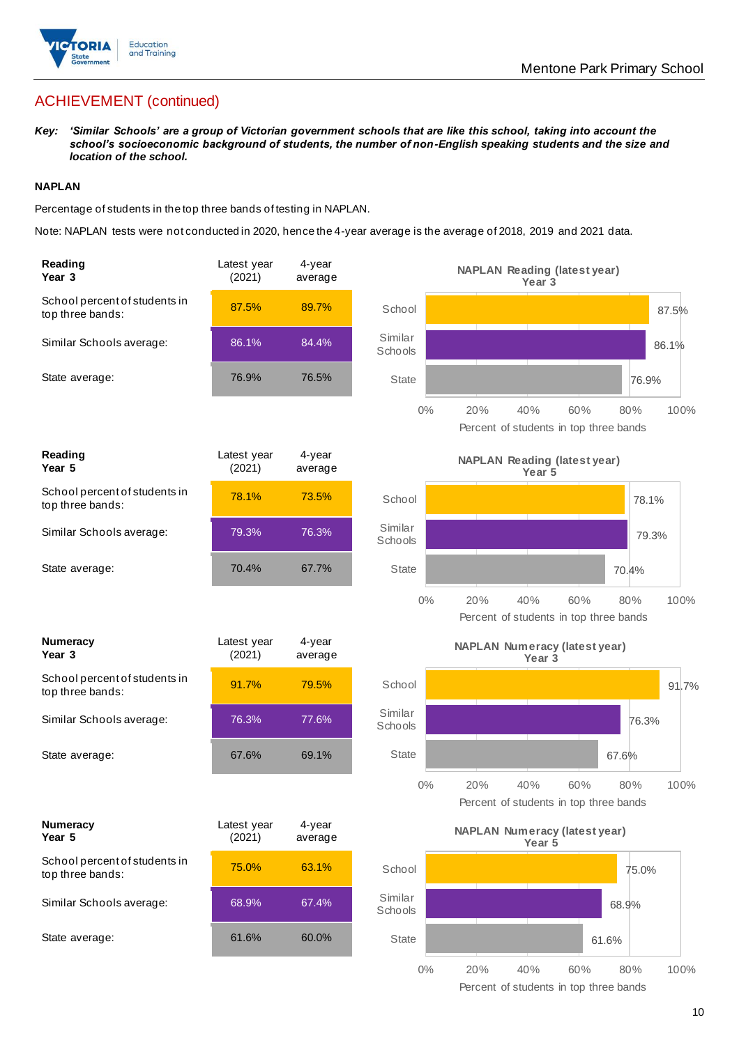

# ACHIEVEMENT (continued)

*Key: 'Similar Schools' are a group of Victorian government schools that are like this school, taking into account the school's socioeconomic background of students, the number of non-English speaking students and the size and location of the school.*

#### **NAPLAN**

Percentage of students in the top three bands of testing in NAPLAN.

Note: NAPLAN tests were not conducted in 2020, hence the 4-year average is the average of 2018, 2019 and 2021 data.

| Reading<br>Year 3                                 | Latest year<br>(2021) | 4-year<br>average |                    | <b>NAPLAN Reading (latest year)</b><br>Year <sub>3</sub>                   |
|---------------------------------------------------|-----------------------|-------------------|--------------------|----------------------------------------------------------------------------|
| School percent of students in<br>top three bands: | 87.5%                 | 89.7%             | School             | 87.5%                                                                      |
| Similar Schools average:                          | 86.1%                 | 84.4%             | Similar<br>Schools | 86.1%                                                                      |
| State average:                                    | 76.9%                 | 76.5%             | <b>State</b>       | 76.9%                                                                      |
|                                                   |                       |                   | $0\%$              | 20%<br>40%<br>60%<br>100%<br>80%<br>Percent of students in top three bands |
| Reading<br>Year 5                                 | Latest year<br>(2021) | 4-year<br>average |                    | <b>NAPLAN Reading (latest year)</b><br>Year 5                              |
| School percent of students in<br>top three bands: | 78.1%                 | 73.5%             | School             | 78.1%                                                                      |
| Similar Schools average:                          | 79.3%                 | 76.3%             | Similar<br>Schools | 79.3%                                                                      |
| State average:                                    | 70.4%                 | 67.7%             | <b>State</b>       | 70.4%                                                                      |
|                                                   |                       |                   | $0\%$              | 20%<br>40%<br>60%<br>80%<br>100%<br>Percent of students in top three bands |
| <b>Numeracy</b><br>Year <sub>3</sub>              | Latest year<br>(2021) | 4-year<br>average |                    | <b>NAPLAN Numeracy (latest year)</b><br>Year <sub>3</sub>                  |
| School percent of students in<br>top three bands: | 91.7%                 | 79.5%             | School             | 91.7%                                                                      |
| Similar Schools average:                          | 76.3%                 | 77.6%             | Similar<br>Schools | 76.3%                                                                      |
| State average:                                    | 67.6%                 | 69.1%             | State              | 67.6%                                                                      |
|                                                   |                       |                   | $0\%$              | 20%<br>40%<br>60%<br>100%<br>80%<br>Percent of students in top three bands |
| <b>Numeracy</b><br>Year 5                         | Latest year<br>(2021) | 4-year<br>average |                    | <b>NAPLAN Numeracy (latest year)</b><br>Year 5                             |
| School percent of students in<br>top three bands: | 75.0%                 | 63.1%             | School             | 75.0%                                                                      |
| Similar Schools average:                          | 68.9%                 | 67.4%             | Similar<br>Schools | 68.9%                                                                      |
| State average:                                    | 61.6%                 | 60.0%             | State              | 61.6%                                                                      |
|                                                   |                       |                   | $0\%$              | 20%<br>40%<br>60%<br>80%<br>100%                                           |

Percent of students in top three bands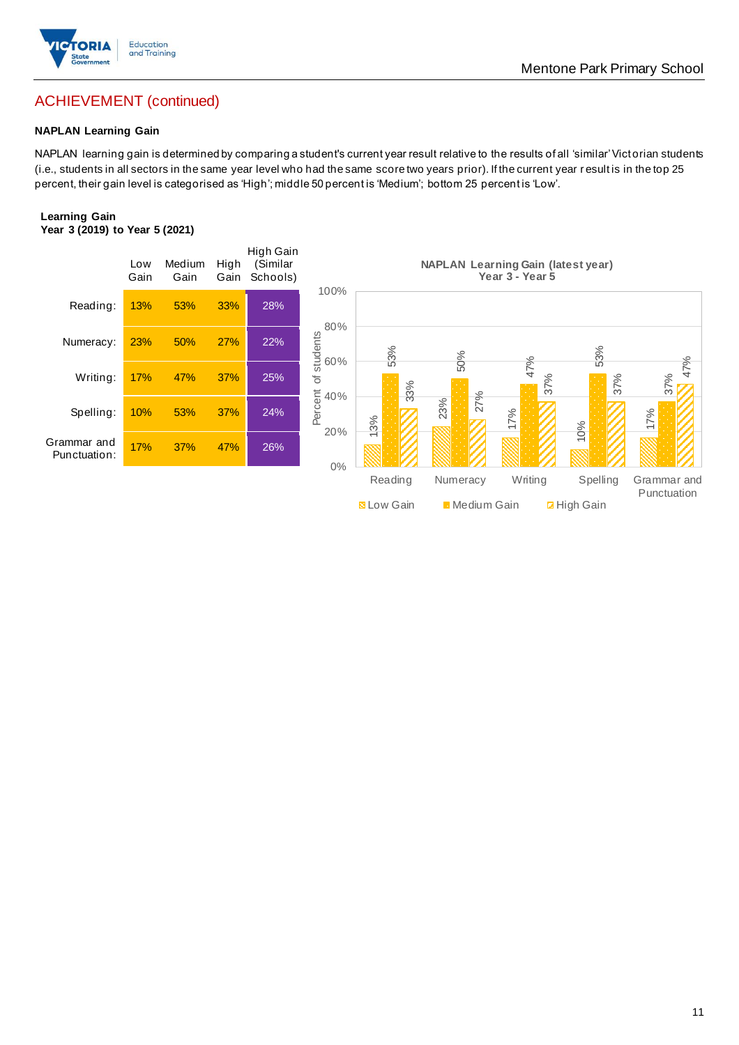

# ACHIEVEMENT (continued)

#### **NAPLAN Learning Gain**

NAPLAN learning gain is determined by comparing a student's current year result relative to the results of all 'similar' Victorian students (i.e., students in all sectors in the same year level who had the same score two years prior). If the current year r esult is in the top 25 percent, their gain level is categorised as 'High'; middle 50 percent is 'Medium'; bottom 25 percent is 'Low'.

#### **Learning Gain Year 3 (2019) to Year 5 (2021)**

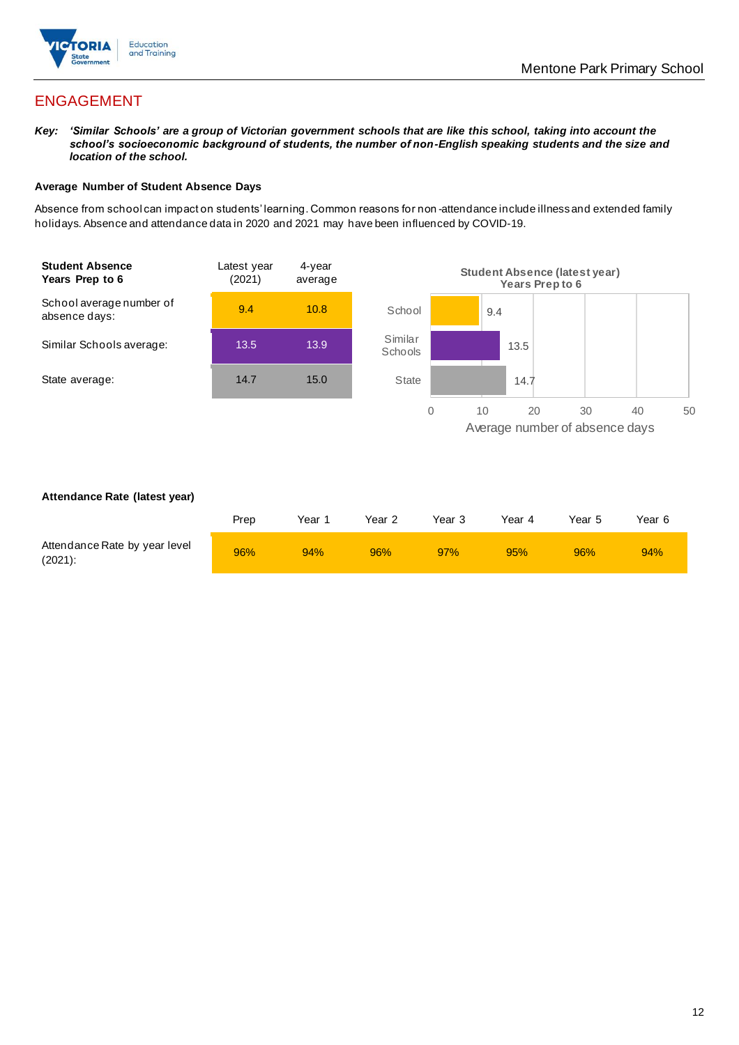

# ENGAGEMENT

*Key: 'Similar Schools' are a group of Victorian government schools that are like this school, taking into account the school's socioeconomic background of students, the number of non-English speaking students and the size and location of the school.*

#### **Average Number of Student Absence Days**

Absence from school can impact on students' learning. Common reasons for non -attendance include illness and extended family holidays. Absence and attendance data in 2020 and 2021 may have been influenced by COVID-19.



#### **Attendance Rate (latest year)**

|                                             | Prep | Year 1 | Year 2 | Year 3 | Year 4 | Year 5 | Year 6 |
|---------------------------------------------|------|--------|--------|--------|--------|--------|--------|
| Attendance Rate by year level<br>$(2021)$ : | 96%  | 94%    | 96%    | 97%    | 95%    | 96%    | 94%    |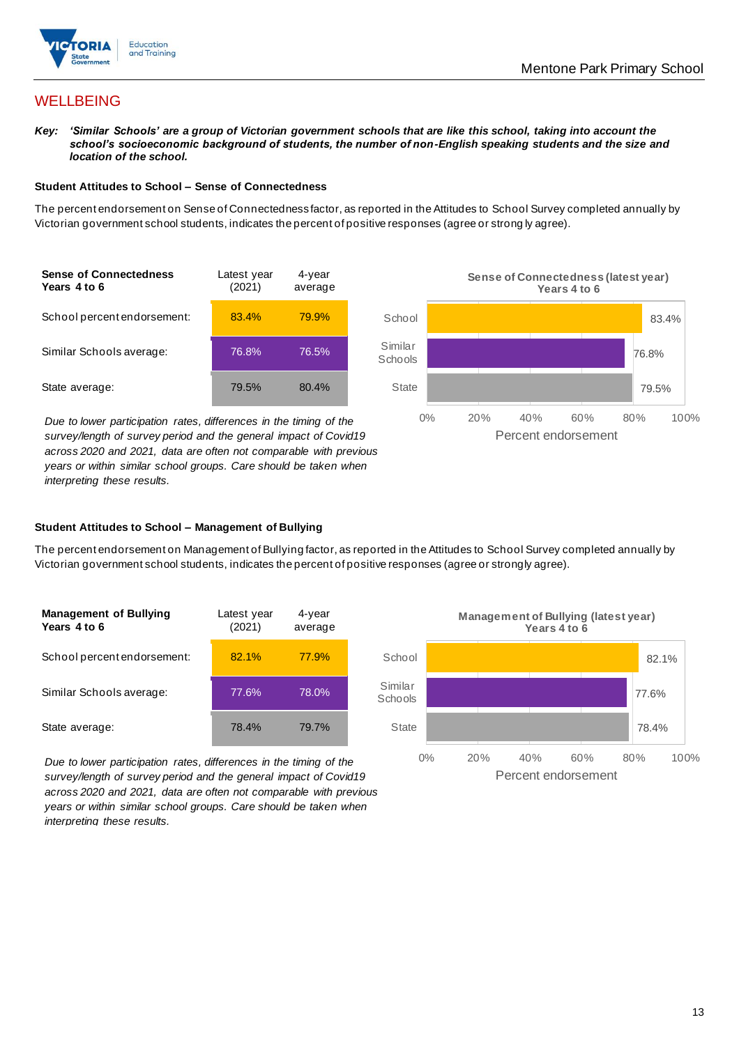

## **WELLBEING**

*Key: 'Similar Schools' are a group of Victorian government schools that are like this school, taking into account the school's socioeconomic background of students, the number of non-English speaking students and the size and location of the school.*

#### **Student Attitudes to School – Sense of Connectedness**

The percent endorsement on Sense of Connectedness factor, as reported in the Attitudes to School Survey completed annually by Victorian government school students, indicates the percent of positive responses (agree or strong ly agree).

| <b>Sense of Connectedness</b><br>Years 4 to 6 | Latest year<br>(2021) | 4-year<br>average |
|-----------------------------------------------|-----------------------|-------------------|
| School percent endorsement:                   | 83.4%                 | 79.9%             |
| Similar Schools average:                      | 76.8%                 | 76.5%             |
| State average:                                | 79.5%                 | 80.4%             |

*Due to lower participation rates, differences in the timing of the survey/length of survey period and the general impact of Covid19 across 2020 and 2021, data are often not comparable with previous years or within similar school groups. Care should be taken when interpreting these results.*



#### **Student Attitudes to School – Management of Bullying**

The percent endorsement on Management of Bullying factor, as reported in the Attitudes to School Survey completed annually by Victorian government school students, indicates the percent of positive responses (agree or strongly agree).

| <b>Management of Bullying</b><br>Years 4 to 6 | Latest year<br>(2021) | 4-year<br>average |  |
|-----------------------------------------------|-----------------------|-------------------|--|
| School percent endorsement:                   | 82.1%                 | 77.9%             |  |
| Similar Schools average:                      | 77.6%                 | 78.0%             |  |
| State average:                                | 78.4%                 | 79.7%             |  |

*Due to lower participation rates, differences in the timing of the survey/length of survey period and the general impact of Covid19 across 2020 and 2021, data are often not comparable with previous years or within similar school groups. Care should be taken when interpreting these results.*

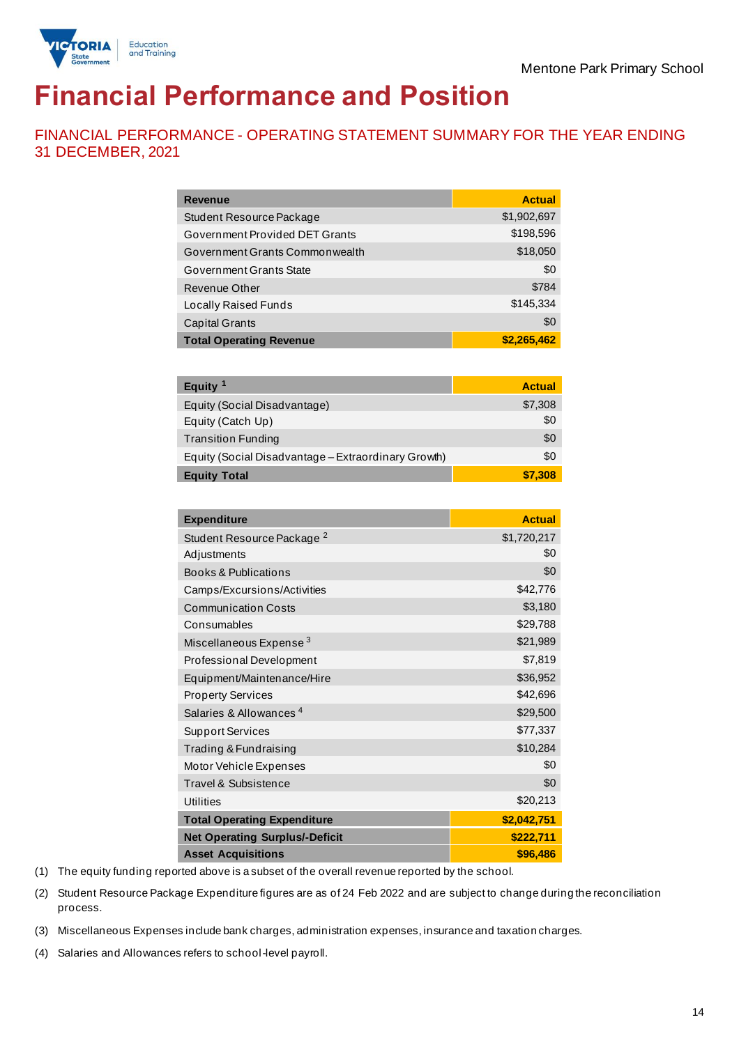

# **Financial Performance and Position**

FINANCIAL PERFORMANCE - OPERATING STATEMENT SUMMARY FOR THE YEAR ENDING 31 DECEMBER, 2021

| Revenue                                             | <b>Actual</b> |
|-----------------------------------------------------|---------------|
| Student Resource Package                            | \$1,902,697   |
| Government Provided DET Grants                      | \$198,596     |
| Government Grants Commonwealth                      | \$18,050      |
| Government Grants State                             | \$0           |
| Revenue Other                                       | \$784         |
| Locally Raised Funds                                | \$145,334     |
| <b>Capital Grants</b>                               | \$0           |
| <b>Total Operating Revenue</b>                      | \$2,265,462   |
|                                                     |               |
| Equity <sup>1</sup>                                 | <b>Actual</b> |
| Equity (Social Disadvantage)                        | \$7,308       |
| Equity (Catch Up)                                   | \$0           |
| <b>Transition Funding</b>                           | \$0           |
| Equity (Social Disadvantage – Extraordinary Growth) | \$0           |
| <b>Equity Total</b>                                 | \$7,308       |
|                                                     |               |

| <b>Expenditure</b>                    | <b>Actual</b> |
|---------------------------------------|---------------|
| Student Resource Package <sup>2</sup> | \$1,720,217   |
| Adjustments                           | \$0           |
| Books & Publications                  | \$0           |
| Camps/Excursions/Activities           | \$42,776      |
| <b>Communication Costs</b>            | \$3,180       |
| Consumables                           | \$29,788      |
| Miscellaneous Expense <sup>3</sup>    | \$21,989      |
| Professional Development              | \$7,819       |
| Equipment/Maintenance/Hire            | \$36,952      |
| <b>Property Services</b>              | \$42,696      |
| Salaries & Allowances <sup>4</sup>    | \$29,500      |
| <b>Support Services</b>               | \$77,337      |
| Trading & Fundraising                 | \$10,284      |
| Motor Vehicle Expenses                | \$0           |
| Travel & Subsistence                  | \$0           |
| <b>Utilities</b>                      | \$20,213      |
| <b>Total Operating Expenditure</b>    | \$2,042,751   |
| <b>Net Operating Surplus/-Deficit</b> | \$222,711     |
| <b>Asset Acquisitions</b>             | \$96,486      |

(1) The equity funding reported above is a subset of the overall revenue reported by the school.

(2) Student Resource Package Expenditure figures are as of 24 Feb 2022 and are subject to change during the reconciliation process.

(3) Miscellaneous Expenses include bank charges, administration expenses, insurance and taxation charges.

(4) Salaries and Allowances refers to school-level payroll.